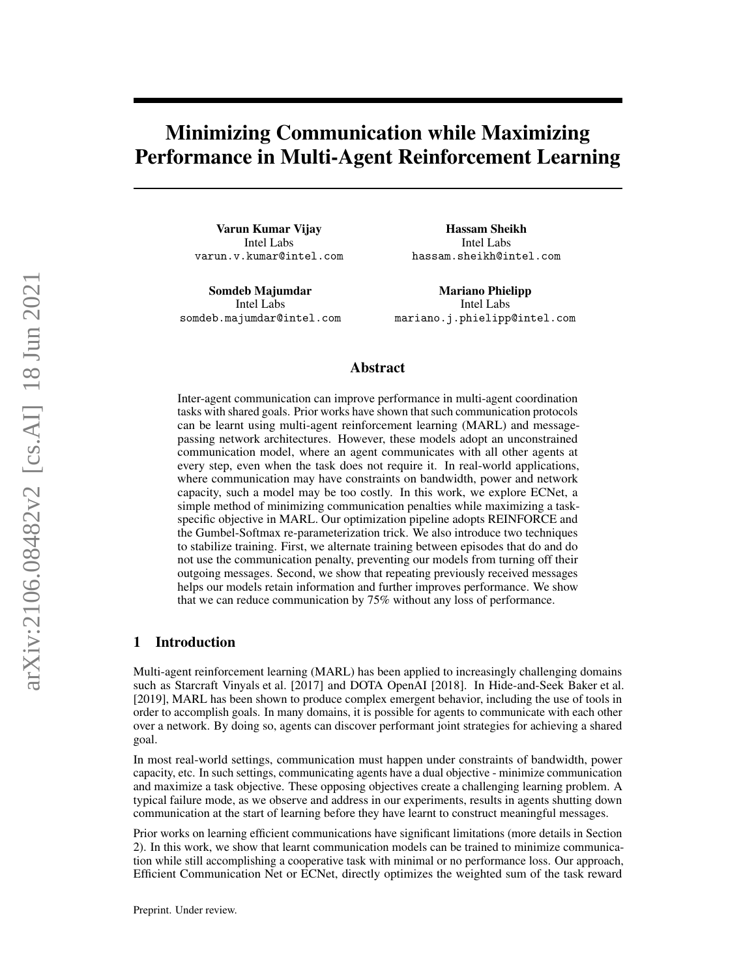# Minimizing Communication while Maximizing Performance in Multi-Agent Reinforcement Learning

Varun Kumar Vijay Intel Labs varun.v.kumar@intel.com

Somdeb Majumdar Intel Labs somdeb.majumdar@intel.com

Hassam Sheikh Intel Labs hassam.sheikh@intel.com

Mariano Phielipp Intel Labs mariano.j.phielipp@intel.com

# Abstract

Inter-agent communication can improve performance in multi-agent coordination tasks with shared goals. Prior works have shown that such communication protocols can be learnt using multi-agent reinforcement learning (MARL) and messagepassing network architectures. However, these models adopt an unconstrained communication model, where an agent communicates with all other agents at every step, even when the task does not require it. In real-world applications, where communication may have constraints on bandwidth, power and network capacity, such a model may be too costly. In this work, we explore ECNet, a simple method of minimizing communication penalties while maximizing a taskspecific objective in MARL. Our optimization pipeline adopts REINFORCE and the Gumbel-Softmax re-parameterization trick. We also introduce two techniques to stabilize training. First, we alternate training between episodes that do and do not use the communication penalty, preventing our models from turning off their outgoing messages. Second, we show that repeating previously received messages helps our models retain information and further improves performance. We show that we can reduce communication by 75% without any loss of performance.

# 1 Introduction

Multi-agent reinforcement learning (MARL) has been applied to increasingly challenging domains such as Starcraft Vinyals et al. [2017] and DOTA OpenAI [2018]. In Hide-and-Seek Baker et al. [2019], MARL has been shown to produce complex emergent behavior, including the use of tools in order to accomplish goals. In many domains, it is possible for agents to communicate with each other over a network. By doing so, agents can discover performant joint strategies for achieving a shared goal.

In most real-world settings, communication must happen under constraints of bandwidth, power capacity, etc. In such settings, communicating agents have a dual objective - minimize communication and maximize a task objective. These opposing objectives create a challenging learning problem. A typical failure mode, as we observe and address in our experiments, results in agents shutting down communication at the start of learning before they have learnt to construct meaningful messages.

Prior works on learning efficient communications have significant limitations (more details in Section 2). In this work, we show that learnt communication models can be trained to minimize communication while still accomplishing a cooperative task with minimal or no performance loss. Our approach, Efficient Communication Net or ECNet, directly optimizes the weighted sum of the task reward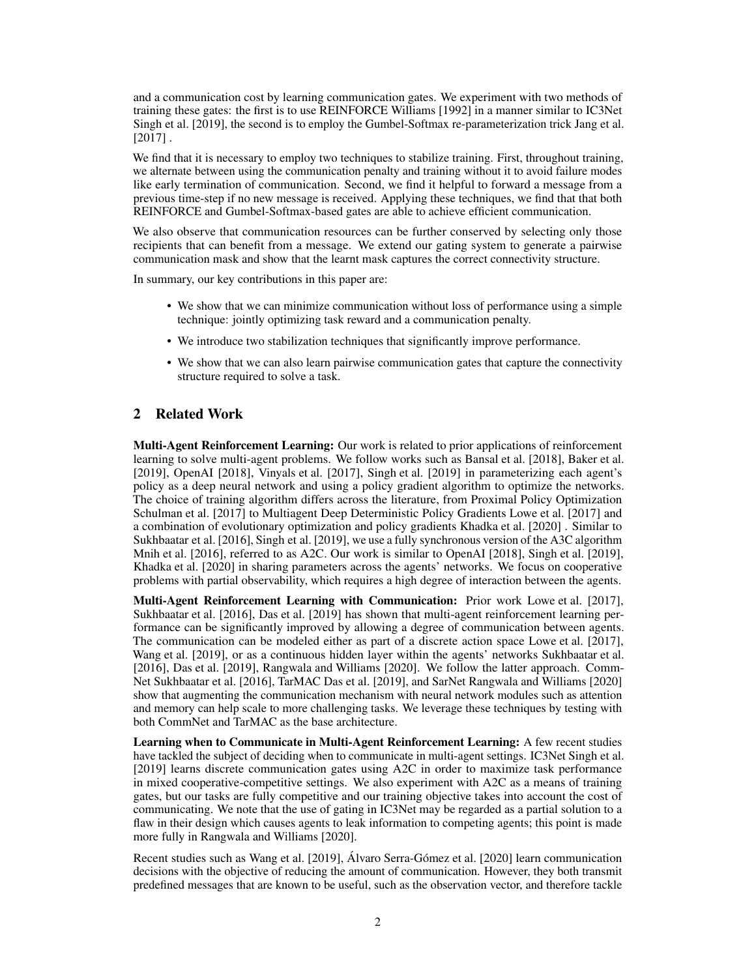and a communication cost by learning communication gates. We experiment with two methods of training these gates: the first is to use REINFORCE Williams [1992] in a manner similar to IC3Net Singh et al. [2019], the second is to employ the Gumbel-Softmax re-parameterization trick Jang et al.  $[2017]$ .

We find that it is necessary to employ two techniques to stabilize training. First, throughout training, we alternate between using the communication penalty and training without it to avoid failure modes like early termination of communication. Second, we find it helpful to forward a message from a previous time-step if no new message is received. Applying these techniques, we find that that both REINFORCE and Gumbel-Softmax-based gates are able to achieve efficient communication.

We also observe that communication resources can be further conserved by selecting only those recipients that can benefit from a message. We extend our gating system to generate a pairwise communication mask and show that the learnt mask captures the correct connectivity structure.

In summary, our key contributions in this paper are:

- We show that we can minimize communication without loss of performance using a simple technique: jointly optimizing task reward and a communication penalty.
- We introduce two stabilization techniques that significantly improve performance.
- We show that we can also learn pairwise communication gates that capture the connectivity structure required to solve a task.

# 2 Related Work

**Multi-Agent Reinforcement Learning:** Our work is related to prior applications of reinforcement learning to solve multi-agent problems. We follow works such as Bansal et al. [2018], Baker et al. [2019], OpenAI [2018], Vinyals et al. [2017], Singh et al. [2019] in parameterizing each agent's policy as a deep neural network and using a policy gradient algorithm to optimize the networks. The choice of training algorithm differs across the literature, from Proximal Policy Optimization Schulman et al. [2017] to Multiagent Deep Deterministic Policy Gradients Lowe et al. [2017] and a combination of evolutionary optimization and policy gradients Khadka et al. [2020] . Similar to Sukhbaatar et al. [2016], Singh et al. [2019], we use a fully synchronous version of the A3C algorithm Mnih et al. [2016], referred to as A2C. Our work is similar to OpenAI [2018], Singh et al. [2019], Khadka et al. [2020] in sharing parameters across the agents' networks. We focus on cooperative problems with partial observability, which requires a high degree of interaction between the agents.

Multi-Agent Reinforcement Learning with Communication: Prior work Lowe et al. [2017], Sukhbaatar et al. [2016], Das et al. [2019] has shown that multi-agent reinforcement learning performance can be significantly improved by allowing a degree of communication between agents. The communication can be modeled either as part of a discrete action space Lowe et al. [2017], Wang et al. [2019], or as a continuous hidden layer within the agents' networks Sukhbaatar et al. [2016], Das et al. [2019], Rangwala and Williams [2020]. We follow the latter approach. Comm-Net Sukhbaatar et al. [2016], TarMAC Das et al. [2019], and SarNet Rangwala and Williams [2020] show that augmenting the communication mechanism with neural network modules such as attention and memory can help scale to more challenging tasks. We leverage these techniques by testing with both CommNet and TarMAC as the base architecture.

Learning when to Communicate in Multi-Agent Reinforcement Learning: A few recent studies have tackled the subject of deciding when to communicate in multi-agent settings. IC3Net Singh et al. [2019] learns discrete communication gates using A2C in order to maximize task performance in mixed cooperative-competitive settings. We also experiment with A2C as a means of training gates, but our tasks are fully competitive and our training objective takes into account the cost of communicating. We note that the use of gating in IC3Net may be regarded as a partial solution to a flaw in their design which causes agents to leak information to competing agents; this point is made more fully in Rangwala and Williams [2020].

Recent studies such as Wang et al. [2019], Álvaro Serra-Gómez et al. [2020] learn communication decisions with the objective of reducing the amount of communication. However, they both transmit predefined messages that are known to be useful, such as the observation vector, and therefore tackle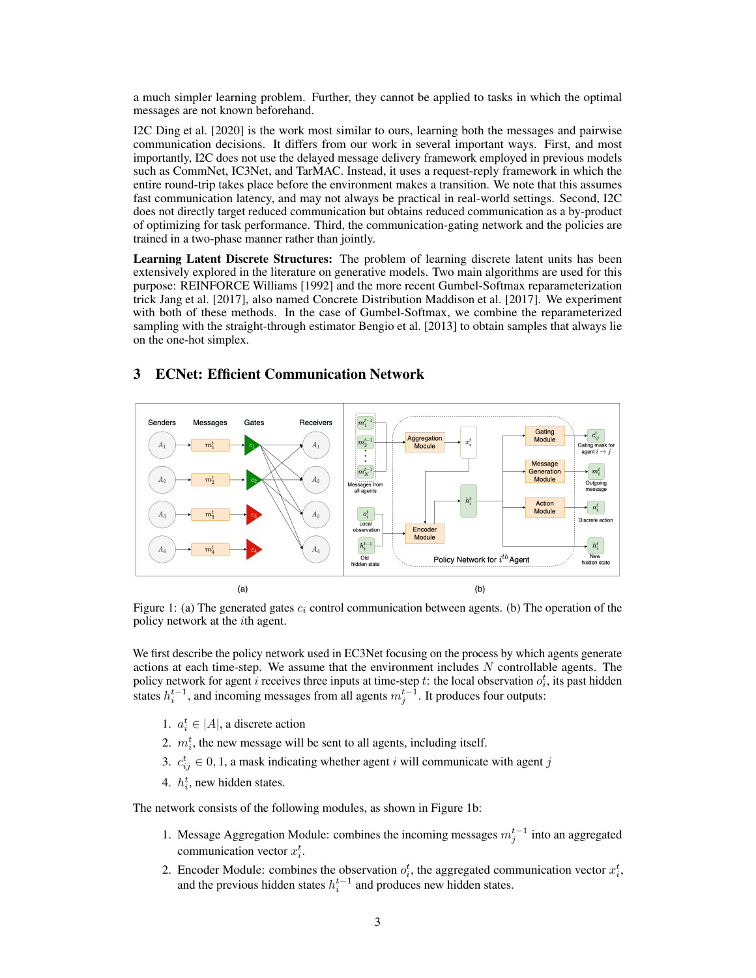a much simpler learning problem. Further, they cannot be applied to tasks in which the optimal messages are not known beforehand.

I2C Ding et al. [2020] is the work most similar to ours, learning both the messages and pairwise communication decisions. It differs from our work in several important ways. First, and most importantly, I2C does not use the delayed message delivery framework employed in previous models such as CommNet, IC3Net, and TarMAC. Instead, it uses a request-reply framework in which the entire round-trip takes place before the environment makes a transition. We note that this assumes fast communication latency, and may not always be practical in real-world settings. Second, I2C does not directly target reduced communication but obtains reduced communication as a by-product of optimizing for task performance. Third, the communication-gating network and the policies are trained in a two-phase manner rather than jointly.

Learning Latent Discrete Structures: The problem of learning discrete latent units has been extensively explored in the literature on generative models. Two main algorithms are used for this purpose: REINFORCE Williams [1992] and the more recent Gumbel-Softmax reparameterization trick Jang et al. [2017], also named Concrete Distribution Maddison et al. [2017]. We experiment with both of these methods. In the case of Gumbel-Softmax, we combine the reparameterized sampling with the straight-through estimator Bengio et al. [2013] to obtain samples that always lie on the one-hot simplex.



# 3 ECNet: Efficient Communication Network

Figure 1: (a) The generated gates  $c_i$  control communication between agents. (b) The operation of the policy network at the ith agent.

We first describe the policy network used in EC3Net focusing on the process by which agents generate actions at each time-step. We assume that the environment includes  $N$  controllable agents. The policy network for agent i receives three inputs at time-step t: the local observation  $o_i^t$ , its past hidden states  $h_i^{t-1}$ , and incoming messages from all agents  $m_j^{t-1}$ . It produces four outputs:

- 1.  $a_i^t \in |A|$ , a discrete action
- 2.  $m_i^t$ , the new message will be sent to all agents, including itself.
- 3.  $c_{ij}^t \in [0, 1]$ , a mask indicating whether agent i will communicate with agent j
- 4.  $h_i^t$ , new hidden states.

The network consists of the following modules, as shown in Figure 1b:

- 1. Message Aggregation Module: combines the incoming messages  $m_j^{t-1}$  into an aggregated communication vector  $x_i^t$ .
- 2. Encoder Module: combines the observation  $o_i^t$ , the aggregated communication vector  $x_i^t$ , and the previous hidden states  $h_i^{t-1}$  and produces new hidden states.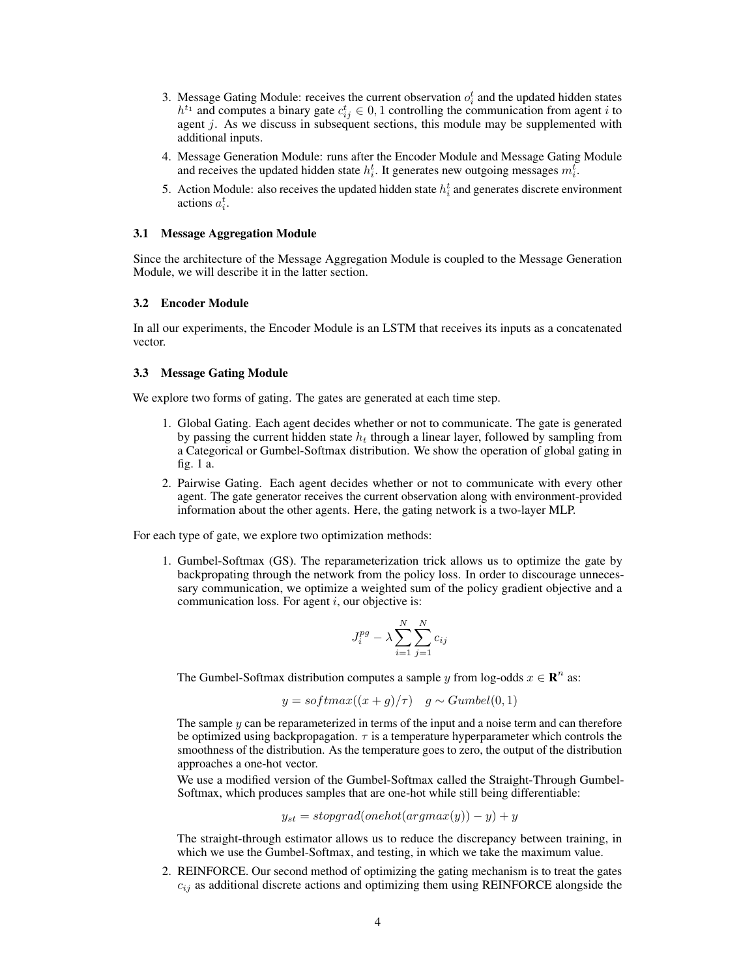- 3. Message Gating Module: receives the current observation  $o_i^t$  and the updated hidden states  $h^{t_1}$  and computes a binary gate  $c_{ij}^t \in [0, 1]$  controlling the communication from agent i to agent  $j$ . As we discuss in subsequent sections, this module may be supplemented with additional inputs.
- 4. Message Generation Module: runs after the Encoder Module and Message Gating Module and receives the updated hidden state  $h_i^t$ . It generates new outgoing messages  $m_i^t$ .
- 5. Action Module: also receives the updated hidden state  $h_i^t$  and generates discrete environment actions  $a_i^t$ .

#### 3.1 Message Aggregation Module

Since the architecture of the Message Aggregation Module is coupled to the Message Generation Module, we will describe it in the latter section.

#### 3.2 Encoder Module

In all our experiments, the Encoder Module is an LSTM that receives its inputs as a concatenated vector.

#### 3.3 Message Gating Module

We explore two forms of gating. The gates are generated at each time step.

- 1. Global Gating. Each agent decides whether or not to communicate. The gate is generated by passing the current hidden state  $h_t$  through a linear layer, followed by sampling from a Categorical or Gumbel-Softmax distribution. We show the operation of global gating in fig. 1 a.
- 2. Pairwise Gating. Each agent decides whether or not to communicate with every other agent. The gate generator receives the current observation along with environment-provided information about the other agents. Here, the gating network is a two-layer MLP.

For each type of gate, we explore two optimization methods:

1. Gumbel-Softmax (GS). The reparameterization trick allows us to optimize the gate by backpropating through the network from the policy loss. In order to discourage unnecessary communication, we optimize a weighted sum of the policy gradient objective and a communication loss. For agent  $i$ , our objective is:

$$
J_i^{pg} - \lambda \sum_{i=1}^{N} \sum_{j=1}^{N} c_{ij}
$$

The Gumbel-Softmax distribution computes a sample y from log-odds  $x \in \mathbb{R}^n$  as:

$$
y = softmax((x+g)/\tau)
$$
  $g \sim Gumbel(0,1)$ 

The sample  $y$  can be reparameterized in terms of the input and a noise term and can therefore be optimized using backpropagation.  $\tau$  is a temperature hyperparameter which controls the smoothness of the distribution. As the temperature goes to zero, the output of the distribution approaches a one-hot vector.

We use a modified version of the Gumbel-Softmax called the Straight-Through Gumbel-Softmax, which produces samples that are one-hot while still being differentiable:

$$
y_{st} = stopgrad(onehot(argmax(y)) - y) + y
$$

The straight-through estimator allows us to reduce the discrepancy between training, in which we use the Gumbel-Softmax, and testing, in which we take the maximum value.

2. REINFORCE. Our second method of optimizing the gating mechanism is to treat the gates  $c_{ij}$  as additional discrete actions and optimizing them using REINFORCE alongside the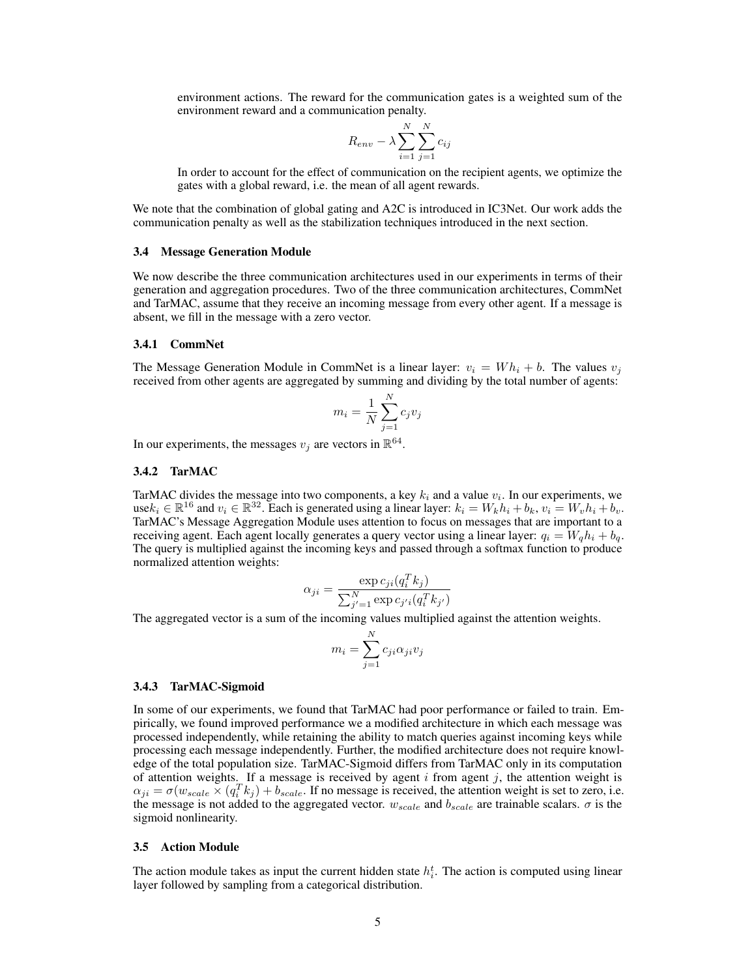environment actions. The reward for the communication gates is a weighted sum of the environment reward and a communication penalty.

$$
R_{env} - \lambda \sum_{i=1}^{N} \sum_{j=1}^{N} c_{ij}
$$

In order to account for the effect of communication on the recipient agents, we optimize the gates with a global reward, i.e. the mean of all agent rewards.

We note that the combination of global gating and A2C is introduced in IC3Net. Our work adds the communication penalty as well as the stabilization techniques introduced in the next section.

#### 3.4 Message Generation Module

We now describe the three communication architectures used in our experiments in terms of their generation and aggregation procedures. Two of the three communication architectures, CommNet and TarMAC, assume that they receive an incoming message from every other agent. If a message is absent, we fill in the message with a zero vector.

#### 3.4.1 CommNet

The Message Generation Module in CommNet is a linear layer:  $v_i = Wh_i + b$ . The values  $v_i$ received from other agents are aggregated by summing and dividing by the total number of agents:

$$
m_i = \frac{1}{N} \sum_{j=1}^{N} c_j v_j
$$

In our experiments, the messages  $v_j$  are vectors in  $\mathbb{R}^{64}$ .

#### 3.4.2 TarMAC

TarMAC divides the message into two components, a key  $k_i$  and a value  $v_i$ . In our experiments, we use $k_i \in \mathbb{R}^{16}$  and  $v_i \in \mathbb{R}^{32}$ . Each is generated using a linear layer:  $k_i = W_k h_i + b_k$ ,  $v_i = W_v h_i + b_v$ . TarMAC's Message Aggregation Module uses attention to focus on messages that are important to a receiving agent. Each agent locally generates a query vector using a linear layer:  $q_i = W_q h_i + b_q$ . The query is multiplied against the incoming keys and passed through a softmax function to produce normalized attention weights:

$$
\alpha_{ji} = \frac{\exp c_{ji}(q_i^T k_j)}{\sum_{j'=1}^N \exp c_{j'i}(q_i^T k_{j'})}
$$

The aggregated vector is a sum of the incoming values multiplied against the attention weights.

$$
m_i = \sum_{j=1}^{N} c_{ji} \alpha_{ji} v_j
$$

#### 3.4.3 TarMAC-Sigmoid

In some of our experiments, we found that TarMAC had poor performance or failed to train. Empirically, we found improved performance we a modified architecture in which each message was processed independently, while retaining the ability to match queries against incoming keys while processing each message independently. Further, the modified architecture does not require knowledge of the total population size. TarMAC-Sigmoid differs from TarMAC only in its computation of attention weights. If a message is received by agent  $i$  from agent  $j$ , the attention weight is  $\alpha_{ji} = \sigma(w_{scale} \times (q_i^T k_j) + b_{scale}$ . If no message is received, the attention weight is set to zero, i.e. the message is not added to the aggregated vector.  $w_{scale}$  and  $b_{scale}$  are trainable scalars.  $\sigma$  is the sigmoid nonlinearity.

#### 3.5 Action Module

The action module takes as input the current hidden state  $h_i^t$ . The action is computed using linear layer followed by sampling from a categorical distribution.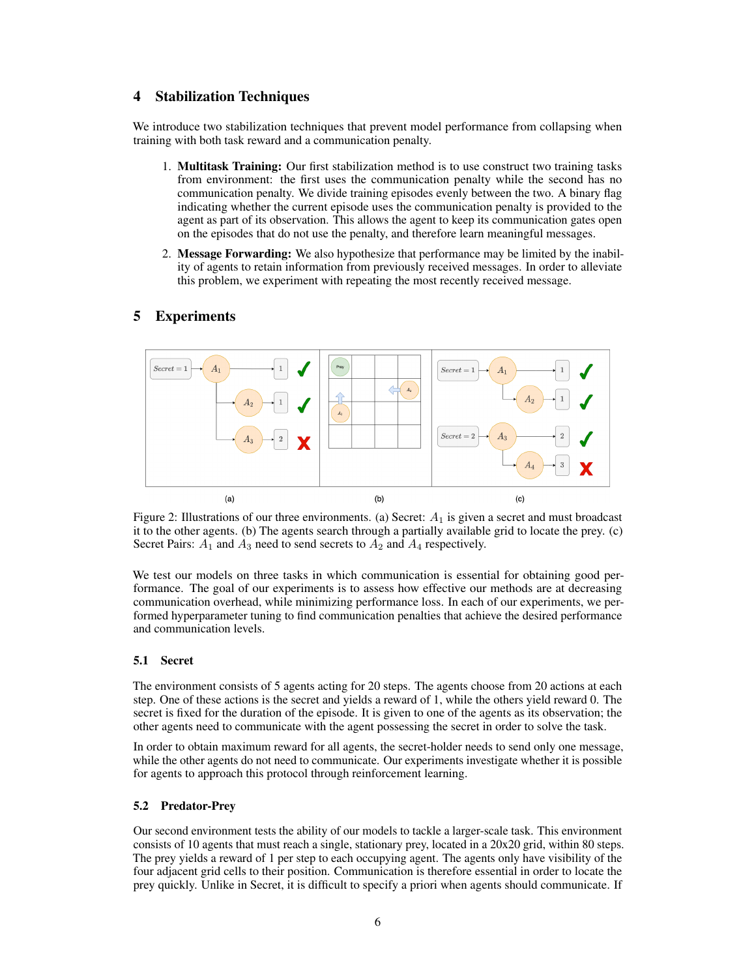# 4 Stabilization Techniques

We introduce two stabilization techniques that prevent model performance from collapsing when training with both task reward and a communication penalty.

- 1. Multitask Training: Our first stabilization method is to use construct two training tasks from environment: the first uses the communication penalty while the second has no communication penalty. We divide training episodes evenly between the two. A binary flag indicating whether the current episode uses the communication penalty is provided to the agent as part of its observation. This allows the agent to keep its communication gates open on the episodes that do not use the penalty, and therefore learn meaningful messages.
- 2. Message Forwarding: We also hypothesize that performance may be limited by the inability of agents to retain information from previously received messages. In order to alleviate this problem, we experiment with repeating the most recently received message.

# 5 Experiments



Figure 2: Illustrations of our three environments. (a) Secret:  $A_1$  is given a secret and must broadcast it to the other agents. (b) The agents search through a partially available grid to locate the prey. (c) Secret Pairs:  $A_1$  and  $A_3$  need to send secrets to  $A_2$  and  $A_4$  respectively.

We test our models on three tasks in which communication is essential for obtaining good performance. The goal of our experiments is to assess how effective our methods are at decreasing communication overhead, while minimizing performance loss. In each of our experiments, we performed hyperparameter tuning to find communication penalties that achieve the desired performance and communication levels.

## 5.1 Secret

The environment consists of 5 agents acting for 20 steps. The agents choose from 20 actions at each step. One of these actions is the secret and yields a reward of 1, while the others yield reward 0. The secret is fixed for the duration of the episode. It is given to one of the agents as its observation; the other agents need to communicate with the agent possessing the secret in order to solve the task.

In order to obtain maximum reward for all agents, the secret-holder needs to send only one message, while the other agents do not need to communicate. Our experiments investigate whether it is possible for agents to approach this protocol through reinforcement learning.

## 5.2 Predator-Prey

Our second environment tests the ability of our models to tackle a larger-scale task. This environment consists of 10 agents that must reach a single, stationary prey, located in a 20x20 grid, within 80 steps. The prey yields a reward of 1 per step to each occupying agent. The agents only have visibility of the four adjacent grid cells to their position. Communication is therefore essential in order to locate the prey quickly. Unlike in Secret, it is difficult to specify a priori when agents should communicate. If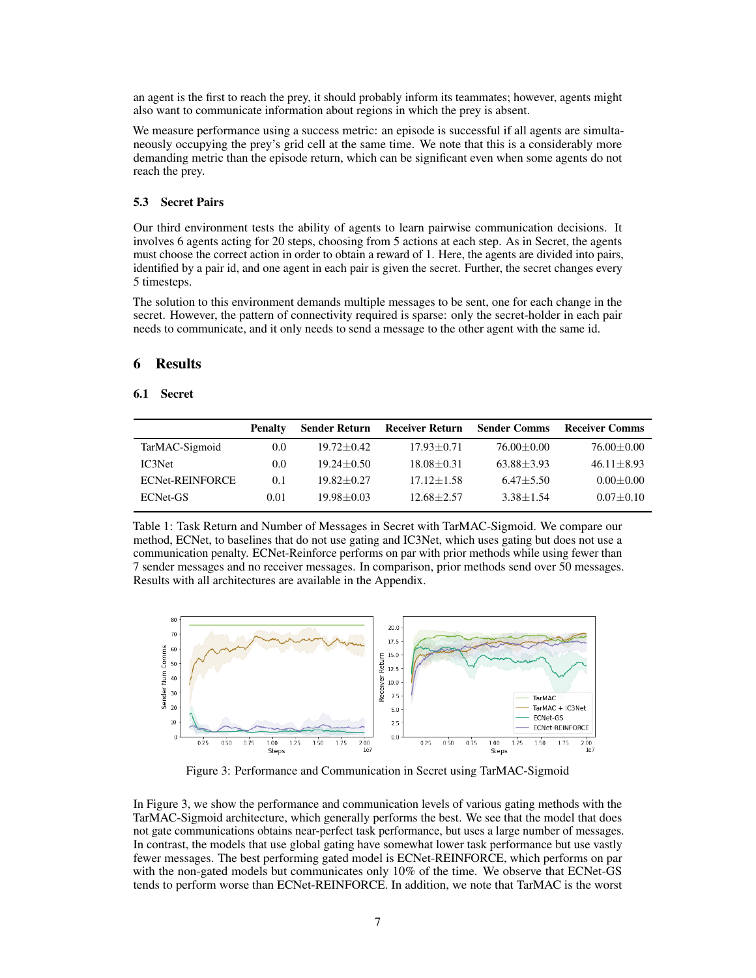an agent is the first to reach the prey, it should probably inform its teammates; however, agents might also want to communicate information about regions in which the prey is absent.

We measure performance using a success metric: an episode is successful if all agents are simultaneously occupying the prey's grid cell at the same time. We note that this is a considerably more demanding metric than the episode return, which can be significant even when some agents do not reach the prey.

# 5.3 Secret Pairs

Our third environment tests the ability of agents to learn pairwise communication decisions. It involves 6 agents acting for 20 steps, choosing from 5 actions at each step. As in Secret, the agents must choose the correct action in order to obtain a reward of 1. Here, the agents are divided into pairs, identified by a pair id, and one agent in each pair is given the secret. Further, the secret changes every 5 timesteps.

The solution to this environment demands multiple messages to be sent, one for each change in the secret. However, the pattern of connectivity required is sparse: only the secret-holder in each pair needs to communicate, and it only needs to send a message to the other agent with the same id.

# 6 Results

## 6.1 Secret

|                        | <b>Penalty</b> | <b>Sender Return</b> | Receiver Return | <b>Sender Comms</b> | <b>Receiver Comms</b> |
|------------------------|----------------|----------------------|-----------------|---------------------|-----------------------|
| TarMAC-Sigmoid         | 0.0            | $19.72 + 0.42$       | $17.93 + 0.71$  | 76.00 $\pm$ 0.00    | $76.00+0.00$          |
| IC3Net                 | 0.0            | $19.24 + 0.50$       | $18.08 + 0.31$  | $63.88 + 3.93$      | $46.11 + 8.93$        |
| <b>ECNet-REINFORCE</b> | 0.1            | $19.82 + 0.27$       | $17.12 + 1.58$  | $6.47 + 5.50$       | $0.00 + 0.00$         |
| <b>ECNet-GS</b>        | 0.01           | $19.98 + 0.03$       | $12.68 + 2.57$  | $3.38 + 1.54$       | $0.07 + 0.10$         |

Table 1: Task Return and Number of Messages in Secret with TarMAC-Sigmoid. We compare our method, ECNet, to baselines that do not use gating and IC3Net, which uses gating but does not use a communication penalty. ECNet-Reinforce performs on par with prior methods while using fewer than 7 sender messages and no receiver messages. In comparison, prior methods send over 50 messages. Results with all architectures are available in the Appendix.



Figure 3: Performance and Communication in Secret using TarMAC-Sigmoid

In Figure 3, we show the performance and communication levels of various gating methods with the TarMAC-Sigmoid architecture, which generally performs the best. We see that the model that does not gate communications obtains near-perfect task performance, but uses a large number of messages. In contrast, the models that use global gating have somewhat lower task performance but use vastly fewer messages. The best performing gated model is ECNet-REINFORCE, which performs on par with the non-gated models but communicates only 10% of the time. We observe that ECNet-GS tends to perform worse than ECNet-REINFORCE. In addition, we note that TarMAC is the worst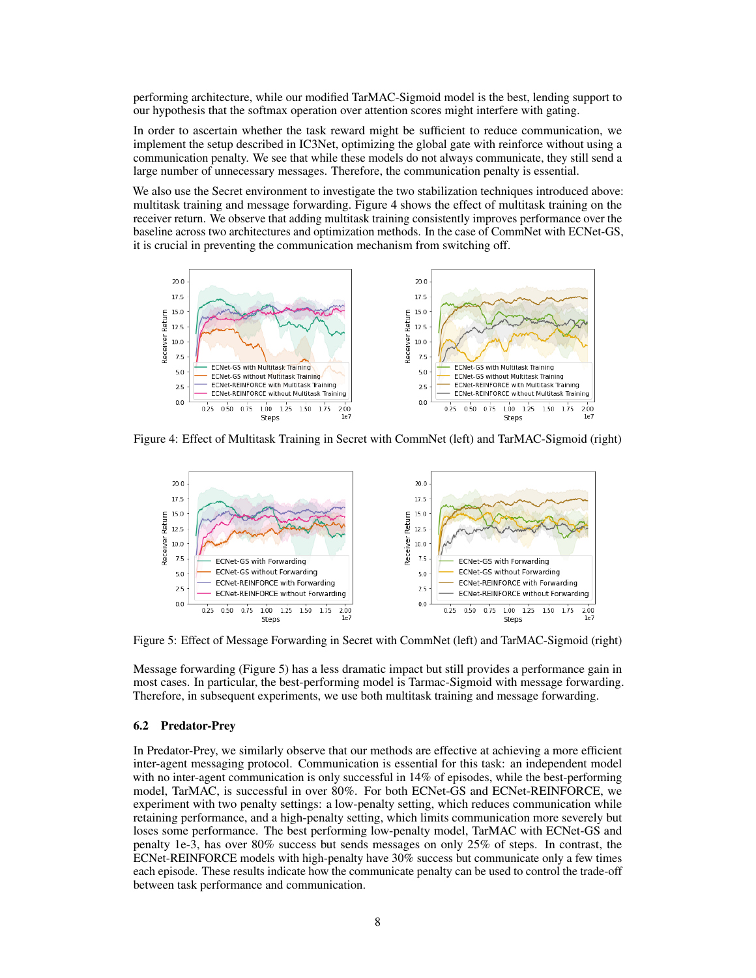performing architecture, while our modified TarMAC-Sigmoid model is the best, lending support to our hypothesis that the softmax operation over attention scores might interfere with gating.

In order to ascertain whether the task reward might be sufficient to reduce communication, we implement the setup described in IC3Net, optimizing the global gate with reinforce without using a communication penalty. We see that while these models do not always communicate, they still send a large number of unnecessary messages. Therefore, the communication penalty is essential.

We also use the Secret environment to investigate the two stabilization techniques introduced above: multitask training and message forwarding. Figure 4 shows the effect of multitask training on the receiver return. We observe that adding multitask training consistently improves performance over the baseline across two architectures and optimization methods. In the case of CommNet with ECNet-GS, it is crucial in preventing the communication mechanism from switching off.



Figure 4: Effect of Multitask Training in Secret with CommNet (left) and TarMAC-Sigmoid (right)



Figure 5: Effect of Message Forwarding in Secret with CommNet (left) and TarMAC-Sigmoid (right)

Message forwarding (Figure 5) has a less dramatic impact but still provides a performance gain in most cases. In particular, the best-performing model is Tarmac-Sigmoid with message forwarding. Therefore, in subsequent experiments, we use both multitask training and message forwarding.

#### 6.2 Predator-Prey

In Predator-Prey, we similarly observe that our methods are effective at achieving a more efficient inter-agent messaging protocol. Communication is essential for this task: an independent model with no inter-agent communication is only successful in 14% of episodes, while the best-performing model, TarMAC, is successful in over 80%. For both ECNet-GS and ECNet-REINFORCE, we experiment with two penalty settings: a low-penalty setting, which reduces communication while retaining performance, and a high-penalty setting, which limits communication more severely but loses some performance. The best performing low-penalty model, TarMAC with ECNet-GS and penalty 1e-3, has over 80% success but sends messages on only 25% of steps. In contrast, the ECNet-REINFORCE models with high-penalty have 30% success but communicate only a few times each episode. These results indicate how the communicate penalty can be used to control the trade-off between task performance and communication.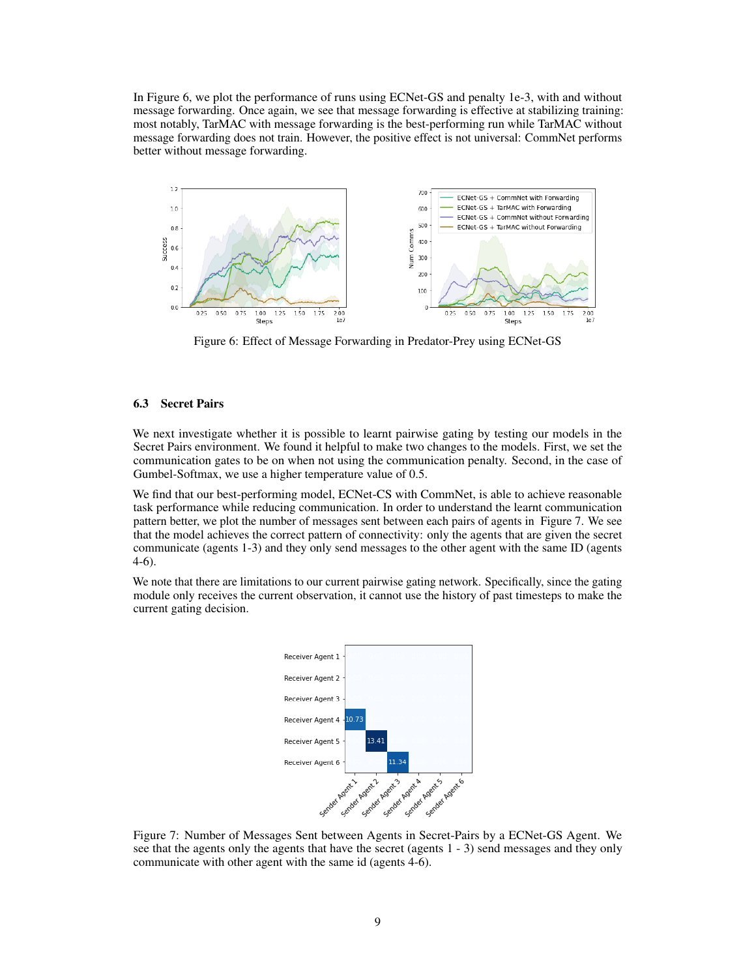In Figure 6, we plot the performance of runs using ECNet-GS and penalty 1e-3, with and without message forwarding. Once again, we see that message forwarding is effective at stabilizing training: most notably, TarMAC with message forwarding is the best-performing run while TarMAC without message forwarding does not train. However, the positive effect is not universal: CommNet performs better without message forwarding.



Figure 6: Effect of Message Forwarding in Predator-Prey using ECNet-GS

#### 6.3 Secret Pairs

We next investigate whether it is possible to learnt pairwise gating by testing our models in the Secret Pairs environment. We found it helpful to make two changes to the models. First, we set the communication gates to be on when not using the communication penalty. Second, in the case of Gumbel-Softmax, we use a higher temperature value of 0.5.

We find that our best-performing model, ECNet-CS with CommNet, is able to achieve reasonable task performance while reducing communication. In order to understand the learnt communication pattern better, we plot the number of messages sent between each pairs of agents in Figure 7. We see that the model achieves the correct pattern of connectivity: only the agents that are given the secret communicate (agents 1-3) and they only send messages to the other agent with the same ID (agents 4-6).

We note that there are limitations to our current pairwise gating network. Specifically, since the gating module only receives the current observation, it cannot use the history of past timesteps to make the current gating decision.



Figure 7: Number of Messages Sent between Agents in Secret-Pairs by a ECNet-GS Agent. We see that the agents only the agents that have the secret (agents 1 - 3) send messages and they only communicate with other agent with the same id (agents 4-6).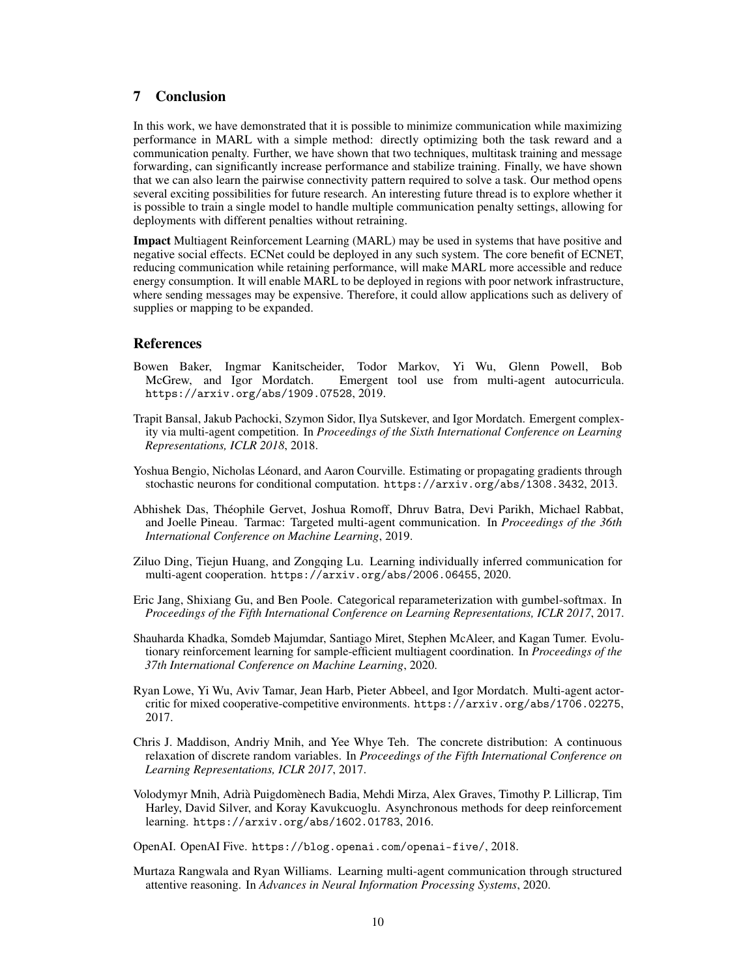# 7 Conclusion

In this work, we have demonstrated that it is possible to minimize communication while maximizing performance in MARL with a simple method: directly optimizing both the task reward and a communication penalty. Further, we have shown that two techniques, multitask training and message forwarding, can significantly increase performance and stabilize training. Finally, we have shown that we can also learn the pairwise connectivity pattern required to solve a task. Our method opens several exciting possibilities for future research. An interesting future thread is to explore whether it is possible to train a single model to handle multiple communication penalty settings, allowing for deployments with different penalties without retraining.

Impact Multiagent Reinforcement Learning (MARL) may be used in systems that have positive and negative social effects. ECNet could be deployed in any such system. The core benefit of ECNET, reducing communication while retaining performance, will make MARL more accessible and reduce energy consumption. It will enable MARL to be deployed in regions with poor network infrastructure, where sending messages may be expensive. Therefore, it could allow applications such as delivery of supplies or mapping to be expanded.

## References

- Bowen Baker, Ingmar Kanitscheider, Todor Markov, Yi Wu, Glenn Powell, Bob McGrew, and Igor Mordatch. Emergent tool use from multi-agent autocurricula. https://arxiv.org/abs/1909.07528, 2019.
- Trapit Bansal, Jakub Pachocki, Szymon Sidor, Ilya Sutskever, and Igor Mordatch. Emergent complexity via multi-agent competition. In *Proceedings of the Sixth International Conference on Learning Representations, ICLR 2018*, 2018.
- Yoshua Bengio, Nicholas Léonard, and Aaron Courville. Estimating or propagating gradients through stochastic neurons for conditional computation. https://arxiv.org/abs/1308.3432, 2013.
- Abhishek Das, Théophile Gervet, Joshua Romoff, Dhruv Batra, Devi Parikh, Michael Rabbat, and Joelle Pineau. Tarmac: Targeted multi-agent communication. In *Proceedings of the 36th International Conference on Machine Learning*, 2019.
- Ziluo Ding, Tiejun Huang, and Zongqing Lu. Learning individually inferred communication for multi-agent cooperation. https://arxiv.org/abs/2006.06455, 2020.
- Eric Jang, Shixiang Gu, and Ben Poole. Categorical reparameterization with gumbel-softmax. In *Proceedings of the Fifth International Conference on Learning Representations, ICLR 2017*, 2017.
- Shauharda Khadka, Somdeb Majumdar, Santiago Miret, Stephen McAleer, and Kagan Tumer. Evolutionary reinforcement learning for sample-efficient multiagent coordination. In *Proceedings of the 37th International Conference on Machine Learning*, 2020.
- Ryan Lowe, Yi Wu, Aviv Tamar, Jean Harb, Pieter Abbeel, and Igor Mordatch. Multi-agent actorcritic for mixed cooperative-competitive environments. https://arxiv.org/abs/1706.02275, 2017.
- Chris J. Maddison, Andriy Mnih, and Yee Whye Teh. The concrete distribution: A continuous relaxation of discrete random variables. In *Proceedings of the Fifth International Conference on Learning Representations, ICLR 2017*, 2017.
- Volodymyr Mnih, Adrià Puigdomènech Badia, Mehdi Mirza, Alex Graves, Timothy P. Lillicrap, Tim Harley, David Silver, and Koray Kavukcuoglu. Asynchronous methods for deep reinforcement learning. https://arxiv.org/abs/1602.01783, 2016.
- OpenAI. OpenAI Five. https://blog.openai.com/openai-five/, 2018.
- Murtaza Rangwala and Ryan Williams. Learning multi-agent communication through structured attentive reasoning. In *Advances in Neural Information Processing Systems*, 2020.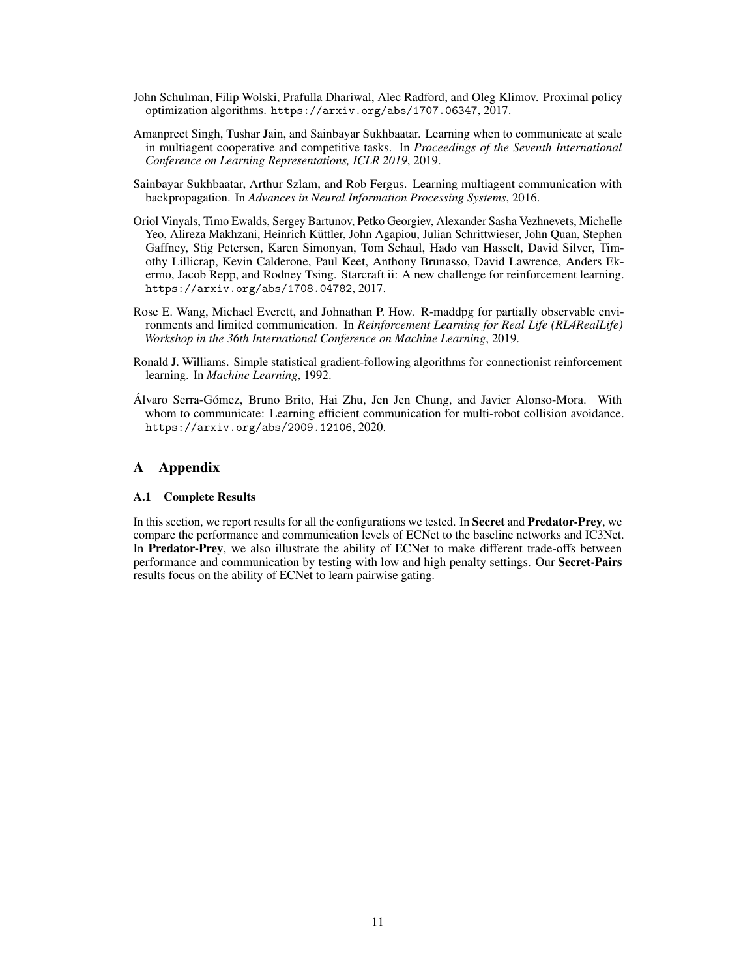- John Schulman, Filip Wolski, Prafulla Dhariwal, Alec Radford, and Oleg Klimov. Proximal policy optimization algorithms. https://arxiv.org/abs/1707.06347, 2017.
- Amanpreet Singh, Tushar Jain, and Sainbayar Sukhbaatar. Learning when to communicate at scale in multiagent cooperative and competitive tasks. In *Proceedings of the Seventh International Conference on Learning Representations, ICLR 2019*, 2019.
- Sainbayar Sukhbaatar, Arthur Szlam, and Rob Fergus. Learning multiagent communication with backpropagation. In *Advances in Neural Information Processing Systems*, 2016.
- Oriol Vinyals, Timo Ewalds, Sergey Bartunov, Petko Georgiev, Alexander Sasha Vezhnevets, Michelle Yeo, Alireza Makhzani, Heinrich Küttler, John Agapiou, Julian Schrittwieser, John Quan, Stephen Gaffney, Stig Petersen, Karen Simonyan, Tom Schaul, Hado van Hasselt, David Silver, Timothy Lillicrap, Kevin Calderone, Paul Keet, Anthony Brunasso, David Lawrence, Anders Ekermo, Jacob Repp, and Rodney Tsing. Starcraft ii: A new challenge for reinforcement learning. https://arxiv.org/abs/1708.04782, 2017.
- Rose E. Wang, Michael Everett, and Johnathan P. How. R-maddpg for partially observable environments and limited communication. In *Reinforcement Learning for Real Life (RL4RealLife) Workshop in the 36th International Conference on Machine Learning*, 2019.
- Ronald J. Williams. Simple statistical gradient-following algorithms for connectionist reinforcement learning. In *Machine Learning*, 1992.
- Álvaro Serra-Gómez, Bruno Brito, Hai Zhu, Jen Jen Chung, and Javier Alonso-Mora. With whom to communicate: Learning efficient communication for multi-robot collision avoidance. https://arxiv.org/abs/2009.12106, 2020.

# A Appendix

## A.1 Complete Results

In this section, we report results for all the configurations we tested. In Secret and Predator-Prey, we compare the performance and communication levels of ECNet to the baseline networks and IC3Net. In Predator-Prey, we also illustrate the ability of ECNet to make different trade-offs between performance and communication by testing with low and high penalty settings. Our Secret-Pairs results focus on the ability of ECNet to learn pairwise gating.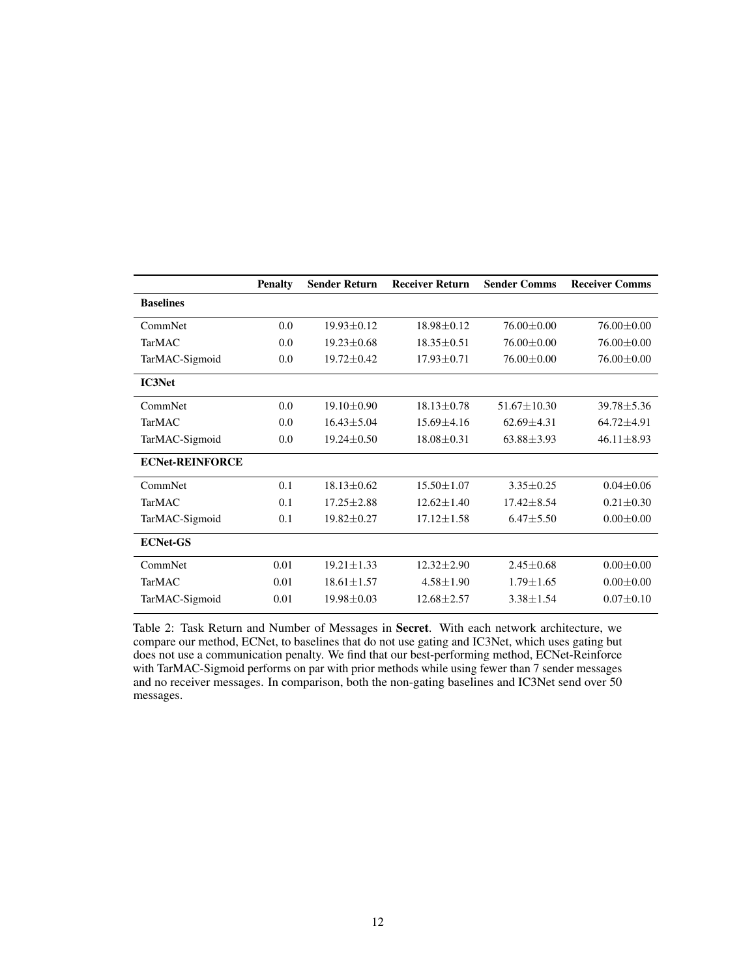|                        | <b>Penalty</b> | <b>Sender Return</b> | <b>Receiver Return</b> | <b>Sender Comms</b> | <b>Receiver Comms</b> |
|------------------------|----------------|----------------------|------------------------|---------------------|-----------------------|
| <b>Baselines</b>       |                |                      |                        |                     |                       |
| CommNet                | 0.0            | $19.93 + 0.12$       | $18.98 + 0.12$         | $76.00 + 0.00$      | $76.00 \pm 0.00$      |
| <b>TarMAC</b>          | 0.0            | $19.23 \pm 0.68$     | $18.35 \pm 0.51$       | $76.00 \pm 0.00$    | $76.00 \pm 0.00$      |
| TarMAC-Sigmoid         | 0.0            | $19.72 \pm 0.42$     | $17.93 \pm 0.71$       | $76.00 \pm 0.00$    | 76.00 $\pm$ 0.00      |
| <b>IC3Net</b>          |                |                      |                        |                     |                       |
| CommNet                | 0.0            | $19.10 + 0.90$       | $18.13 + 0.78$         | $51.67 + 10.30$     | $39.78 + 5.36$        |
| TarMAC                 | 0.0            | $16.43 \pm 5.04$     | $15.69 \pm 4.16$       | $62.69 \pm 4.31$    | $64.72 \pm 4.91$      |
| TarMAC-Sigmoid         | 0.0            | $19.24 \pm 0.50$     | $18.08 \pm 0.31$       | $63.88 \pm 3.93$    | $46.11 \pm 8.93$      |
| <b>ECNet-REINFORCE</b> |                |                      |                        |                     |                       |
| CommNet                | 0.1            | $18.13 + 0.62$       | $15.50 + 1.07$         | $3.35 + 0.25$       | $0.04 \pm 0.06$       |
| TarMAC                 | 0.1            | $17.25 \pm 2.88$     | $12.62 \pm 1.40$       | $17.42 \pm 8.54$    | $0.21 \pm 0.30$       |
| TarMAC-Sigmoid         | 0.1            | $19.82 \pm 0.27$     | $17.12 \pm 1.58$       | $6.47 \pm 5.50$     | $0.00 \pm 0.00$       |
| <b>ECNet-GS</b>        |                |                      |                        |                     |                       |
| CommNet                | 0.01           | $19.21 + 1.33$       | $12.32 \pm 2.90$       | $2.45 + 0.68$       | $0.00 \pm 0.00$       |
| <b>TarMAC</b>          | 0.01           | $18.61 + 1.57$       | $4.58 \pm 1.90$        | $1.79 \pm 1.65$     | $0.00 \pm 0.00$       |
| TarMAC-Sigmoid         | 0.01           | $19.98 \pm 0.03$     | $12.68 + 2.57$         | $3.38 \pm 1.54$     | $0.07 \pm 0.10$       |

Table 2: Task Return and Number of Messages in Secret. With each network architecture, we compare our method, ECNet, to baselines that do not use gating and IC3Net, which uses gating but does not use a communication penalty. We find that our best-performing method, ECNet-Reinforce with TarMAC-Sigmoid performs on par with prior methods while using fewer than 7 sender messages and no receiver messages. In comparison, both the non-gating baselines and IC3Net send over 50 messages.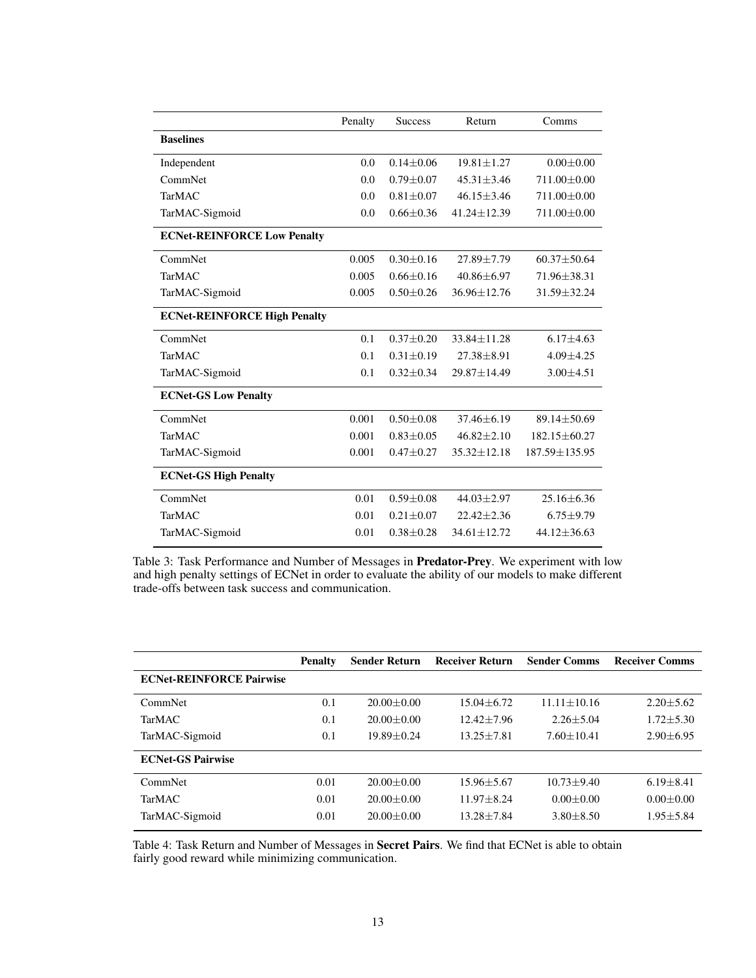|                                     | Penalty | <b>Success</b>  | Return            | Comms             |
|-------------------------------------|---------|-----------------|-------------------|-------------------|
| <b>Baselines</b>                    |         |                 |                   |                   |
| Independent                         | 0.0     | $0.14 + 0.06$   | $19.81 + 1.27$    | $0.00 + 0.00$     |
| CommNet                             | 0.0     | $0.79 + 0.07$   | $45.31 + 3.46$    | $711.00 + 0.00$   |
| <b>TarMAC</b>                       | 0.0     | $0.81 + 0.07$   | $46.15 + 3.46$    | $711.00 + 0.00$   |
| TarMAC-Sigmoid                      | 0.0     | $0.66 \pm 0.36$ | $41.24 \pm 12.39$ | 711.00 $\pm$ 0.00 |
| <b>ECNet-REINFORCE Low Penalty</b>  |         |                 |                   |                   |
| CommNet                             | 0.005   | $0.30 + 0.16$   | $27.89 + 7.79$    | $60.37 + 50.64$   |
| <b>TarMAC</b>                       | 0.005   | $0.66 + 0.16$   | $40.86 + 6.97$    | 71.96+38.31       |
| TarMAC-Sigmoid                      | 0.005   | $0.50 \pm 0.26$ | $36.96 + 12.76$   | 31.59 ± 32.24     |
| <b>ECNet-REINFORCE High Penalty</b> |         |                 |                   |                   |
| CommNet                             | 0.1     | $0.37 \pm 0.20$ | $33.84 + 11.28$   | $6.17 + 4.63$     |
| <b>TarMAC</b>                       | 0.1     | $0.31 + 0.19$   | $27.38 + 8.91$    | $4.09 + 4.25$     |
| TarMAC-Sigmoid                      | 0.1     | $0.32 \pm 0.34$ | 29.87±14.49       | $3.00 + 4.51$     |
| <b>ECNet-GS Low Penalty</b>         |         |                 |                   |                   |
| CommNet                             | 0.001   | $0.50 + 0.08$   | $37.46 + 6.19$    | 89.14±50.69       |
| <b>TarMAC</b>                       | 0.001   | $0.83 + 0.05$   | $46.82 + 2.10$    | $182.15 + 60.27$  |
| TarMAC-Sigmoid                      | 0.001   | $0.47 + 0.27$   | $35.32 + 12.18$   | 187.59±135.95     |
| <b>ECNet-GS High Penalty</b>        |         |                 |                   |                   |
| CommNet                             | 0.01    | $0.59 \pm 0.08$ | $44.03 \pm 2.97$  | $25.16 \pm 6.36$  |
| <b>TarMAC</b>                       | 0.01    | $0.21 \pm 0.07$ | $22.42 + 2.36$    | $6.75 \pm 9.79$   |
| TarMAC-Sigmoid                      | 0.01    | $0.38 + 0.28$   | $34.61 \pm 12.72$ | $44.12 \pm 36.63$ |

Table 3: Task Performance and Number of Messages in Predator-Prey. We experiment with low and high penalty settings of ECNet in order to evaluate the ability of our models to make different trade-offs between task success and communication.

|                                 | <b>Penalty</b> | <b>Sender Return</b> | <b>Receiver Return</b> | <b>Sender Comms</b> | <b>Receiver Comms</b> |
|---------------------------------|----------------|----------------------|------------------------|---------------------|-----------------------|
| <b>ECNet-REINFORCE Pairwise</b> |                |                      |                        |                     |                       |
| CommNet                         | 0.1            | $20.00 + 0.00$       | $15.04 + 6.72$         | $11.11 + 10.16$     | $2.20 + 5.62$         |
| <b>TarMAC</b>                   | 0.1            | $20.00 + 0.00$       | $12.42 + 7.96$         | $2.26 + 5.04$       | $1.72 + 5.30$         |
| TarMAC-Sigmoid                  | 0.1            | $19.89 + 0.24$       | $13.25 + 7.81$         | $7.60 + 10.41$      | $2.90 \pm 6.95$       |
| <b>ECNet-GS Pairwise</b>        |                |                      |                        |                     |                       |
| CommNet                         | 0.01           | $20.00 + 0.00$       | $15.96 + 5.67$         | $10.73 + 9.40$      | $6.19 + 8.41$         |
| <b>TarMAC</b>                   | 0.01           | $20.00 + 0.00$       | $11.97 + 8.24$         | $0.00 + 0.00$       | $0.00 + 0.00$         |
| TarMAC-Sigmoid                  | 0.01           | $20.00 + 0.00$       | $13.28 + 7.84$         | $3.80 + 8.50$       | $1.95 + 5.84$         |

Table 4: Task Return and Number of Messages in Secret Pairs. We find that ECNet is able to obtain fairly good reward while minimizing communication.